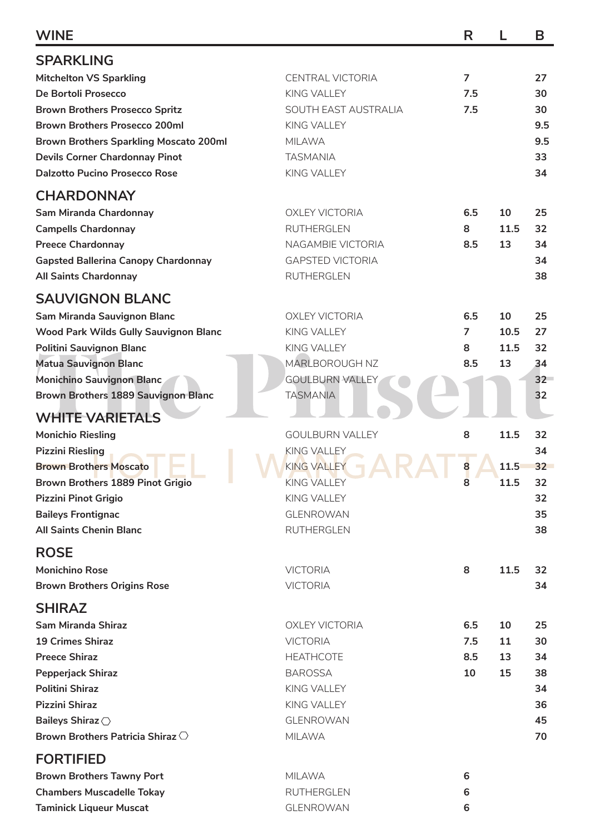| <b>WINE</b>                                   |                         | R              |      | B      |
|-----------------------------------------------|-------------------------|----------------|------|--------|
| <b>SPARKLING</b>                              |                         |                |      |        |
| <b>Mitchelton VS Sparkling</b>                | <b>CENTRAL VICTORIA</b> | $\overline{7}$ |      | 27     |
| De Bortoli Prosecco                           | KING VALLEY             | 7.5            |      | 30     |
| <b>Brown Brothers Prosecco Spritz</b>         | SOUTH EAST AUSTRALIA    | 7.5            |      | 30     |
| <b>Brown Brothers Prosecco 200ml</b>          | KING VALLEY             |                |      | 9.5    |
| <b>Brown Brothers Sparkling Moscato 200ml</b> | <b>MILAWA</b>           |                |      | 9.5    |
| <b>Devils Corner Chardonnay Pinot</b>         | <b>TASMANIA</b>         |                |      | 33     |
| <b>Dalzotto Pucino Prosecco Rose</b>          | KING VALLEY             |                |      | 34     |
| <b>CHARDONNAY</b>                             |                         |                |      |        |
| Sam Miranda Chardonnay                        | <b>OXLEY VICTORIA</b>   | 6.5            | 10   | 25     |
| <b>Campells Chardonnay</b>                    | <b>RUTHERGLEN</b>       | 8              | 11.5 | 32     |
| <b>Preece Chardonnay</b>                      | NAGAMBIE VICTORIA       | 8.5            | 13   | 34     |
| <b>Gapsted Ballerina Canopy Chardonnay</b>    | <b>GAPSTED VICTORIA</b> |                |      | 34     |
|                                               | <b>RUTHERGLEN</b>       |                |      |        |
| <b>All Saints Chardonnay</b>                  |                         |                |      | 38     |
| <b>SAUVIGNON BLANC</b>                        |                         |                |      |        |
| Sam Miranda Sauvignon Blanc                   | <b>OXLEY VICTORIA</b>   | 6.5            | 10   | 25     |
| Wood Park Wilds Gully Sauvignon Blanc         | KING VALLEY             | $\overline{7}$ | 10.5 | 27     |
| Politini Sauvignon Blanc                      | <b>KING VALLEY</b>      | 8              | 11.5 | 32     |
| <b>Matua Sauvignon Blanc</b>                  | MARLBOROUGH NZ          | 8.5            | 13   | 34     |
| <b>Monichino Sauvignon Blanc</b>              | <b>GOULBURN VALLEY</b>  |                |      | $32 -$ |
| <b>Brown Brothers 1889 Sauvignon Blanc</b>    | <b>TASMANIA</b>         |                |      | 32     |
| <b>WHITE VARIETALS</b>                        |                         |                |      |        |
| <b>Monichio Riesling</b>                      | <b>GOULBURN VALLEY</b>  | 8              | 11.5 | 32     |
| <b>Pizzini Riesling</b>                       | <b>KING VALLEY</b>      |                |      | 34     |
| <b>Brown Brothers Moscato</b>                 | KING VALLEY             | 8              | 11.5 | 32     |
| Brown Brothers 1889 Pinot Grigio              | KING VALLEY             | 8              | 11.5 | 32     |
| Pizzini Pinot Grigio                          | KING VALLEY             |                |      | 32     |
| <b>Baileys Frontignac</b>                     | <b>GLENROWAN</b>        |                |      | 35     |
| <b>All Saints Chenin Blanc</b>                | <b>RUTHERGLEN</b>       |                |      | 38     |
|                                               |                         |                |      |        |
| <b>ROSE</b>                                   |                         |                |      |        |
| <b>Monichino Rose</b>                         | <b>VICTORIA</b>         | 8              | 11.5 | 32     |
| <b>Brown Brothers Origins Rose</b>            | <b>VICTORIA</b>         |                |      | 34     |
| <b>SHIRAZ</b>                                 |                         |                |      |        |
| <b>Sam Miranda Shiraz</b>                     | <b>OXLEY VICTORIA</b>   | 6.5            | 10   | 25     |
| <b>19 Crimes Shiraz</b>                       | <b>VICTORIA</b>         | 7.5            | 11   | 30     |
| <b>Preece Shiraz</b>                          | <b>HEATHCOTE</b>        | 8.5            | 13   | 34     |
| <b>Pepperjack Shiraz</b>                      | <b>BAROSSA</b>          | 10             | 15   | 38     |
| <b>Politini Shiraz</b>                        | KING VALLEY             |                |      | 34     |
| <b>Pizzini Shiraz</b>                         | KING VALLEY             |                |      | 36     |
| Baileys Shiraz <                              | <b>GLENROWAN</b>        |                |      | 45     |
| Brown Brothers Patricia Shiraz $\bigcirc$     | <b>MILAWA</b>           |                |      | 70     |
| <b>FORTIFIED</b>                              |                         |                |      |        |
| <b>Brown Brothers Tawny Port</b>              | <b>MILAWA</b>           | 6              |      |        |
| <b>Chambers Muscadelle Tokay</b>              | <b>RUTHERGLEN</b>       | 6              |      |        |
| <b>Taminick Liqueur Muscat</b>                | GLENROWAN               | 6              |      |        |